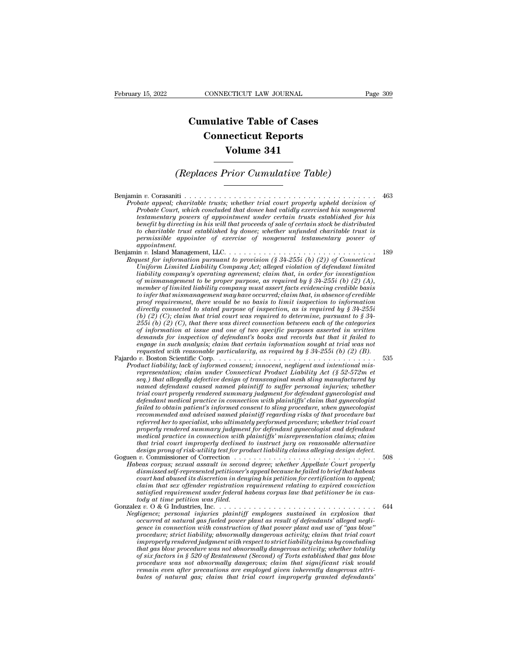## **CONNECTICUT LAW JOURNAL**<br> **Cumulative Table of Cases<br>
Connecticut Reports CONNECTICUT LAW JOURNAL**<br> **CONNECTICUT LAW JOURNAL**<br> **CONNECTICUT Reports<br>
Volume 341 ECTICUT LAW JOURNAL**<br> **Volume 341**<br> **Volume 341**<br> **Volume 341** *Cumulative Table of Cases*<br> *Connecticut Reports*<br> *Volume 341*<br> *(Replaces Prior Cumulative Table)*

Benjamin *<sup>v</sup>*. Corasaniti . . . . . . . . . . . . . . . . . . . . . . . . . . . . . . . . . . . . . . . <sup>463</sup> *Probate appeal;*<br> *Probate appeal; charitable trusts; whether trial court properly upheld decision of*<br> *Probate appeal; charitable trusts; whether trial court properly upheld decision of*<br> *Probate Court, which concluded Prior Cumulative Table*<br> *Probate appeal; charitable trusts; whether trial court properly upheld decision of*<br> *Probate Court, which concluded that donee had validly exercised his nongeneral*<br> *testamentary powers of appo (Replaces Prior Cumulative Table)*<br> **these of approximation**<br> *thate appeal; charitable trusts; whether trial court properly upheld decision of*<br> *Probate Court, which concluded that donee had validly exercised his nongen benefit by directing in his will that proceeds of sale of certain stock be distributed to charitable trust established by donee; whether unfunded charitable trust is permissible appointee of exercise of nongeneral testamentary power of appointment.* Probate appeal; charitable trusts; whether trial court property upheld decision of<br>
Probate Court, which concluded that donee had validly exercised his nongeneral<br>
testamentary powers of appointment under certain trusts es *Probate Court, which concluded that donee had validly exercised his nongeneral<br>testamentary powers of appointment under certain trusts established for his<br>benefit by directing in his will that proceeds of sale of certain Uniform Limited Liability Company Act; alleged violation of defendant limited of maritable trust established by donee; whether unfunded charitable trust is to charitable trust established by donee; whether unfunded charit* 

*liability compartions in the will that proceeds of sale of certain stock be distributed*<br>to charitable trust established by donee; whether unfunded charitable trust is<br>appointment.<br>appointment, LLC........................ *of mismanagement to be proper purpose, as required by § 34-255i (b) (2) (A), member of limited liability company must assert facts evidencing credible basis to infer that mismanagement may have occurred; claim that, in absence of credible proof requirement, there would be no basis to limit inspection to information diability comparison pursuant to provision (§ 34-255i (b) (2)) of Connecticut Uniform Limited Liability Company Act; alleged violation of defendant limited of mismanagement to be proper purpose, as required by § 34-255i ( Uniform Limited Liability Company Act; alleged violation of defendant limited*<br> *liability company's operating agreement; claim that, in order for investigation*<br> *of mismanagement to be proper purpose, as required by laability company's operating agreement; claim that, in order for investigation*<br>of mismanagement to be proper purpose, as required by § 34-255i (b) (2) (A),<br>member of limited liability company must assert facts evidenci *of mismanagement to be proper purpose, as required by § 34-2551 (b) (2) (A),*<br>member of limited liability company must assert facts evidencing credible basis<br>to infer that mismanagement may have occurred; claim that, in member of limited liability company must assert facts evidencing credible basis<br>to infer that mismanagement may have occurred; claim that, in absence of credible<br>proof requirement, there would be no basis to limit inspecti to infer that mismanagement may have occurred; claim that, in absence of credible<br>proof requirement, there would be no basis to limit inspection to information<br>directly connected to stated purpose of inspection, as is req *requested with reasonable particularity, as is required by § 34-255i* (b) (2) (C), claim that trial court was required to determine, pursuant to § 34-255i (b) (2) (C), that there was direct connection between each of the directly connected to stated purpose of inspection, as is required by § 34-2550<br>
(b) (2) (C); claim that trial court was required to determine, pursuant to § 34-<br>
255i (b) (2) (C), that there was direct connection between (b) (2) (C); clarm that trad court was required to determine, pursuant to § 34-255*i* (b) (2) (C), that there was direct connection between each of the categories of information at issue and one of two specific purposes a *representation; claim there was direct connection between each of the categories* of information at issue and one of two specific purposes asserted in written demands for inspection of defendant's books and records but t

of information at issue and one of two specific purposes asserted in written<br>demands for inspection of defendant's books and records but that it failed to<br>engage in such analysis; claim that certain information sought at t *demands for unspection of defendant's books and records but that it faile to*<br>engage in such analysis; claim that certain information sought at trial was not<br>requested with reasonable particularity, as required by  $\frac{3}{2$ *trial court analysis; claim that certain information sought at trial was not*<br>*requested with reasonable particularity, as required by § 34-255i (b) (2) (B).*<br>*v. Boston Scientific Corp.* . . . . . . . . . . . . . . . . . *defendant medical practice in connection with plaintiffs' claim that gynecologist v.* Boston Scientific Corp.<br> *failed tiability*; lack of informed consent; innocent, negligent and intentional mis-<br> *frepresentation; claim under Connecticut Product Liability Act (§ 52-572m et*<br> *seq.) that allegedly de duct habitity; lack of informed consent; innocent, negligent and intentional mis-*<br>representation; claim under Connecticut Product Liability Act (§ 52-572m et<br>seq.) that allegedly defective design of transvaginal mesh sli *representation; claim under Connecticut Product Laability Act (§ 52-572m et* seq.) that allegedly defective design of transvaginal mesh sling manufactured by named defendant caused named plaintiff to suffer personal injur ramed defendant caused named plaintiff to suffer personal injuries; whether<br>trial court properly rendered summary judgment for defendant gynecologist and<br>defendant medical practice in connection with plaintiffs' claim that ramed agendant caused named plaintiff to suffer personal infuries; whether trial court properly rendered summary judgment for defendant gynecologist and defendant medical practice in connection with plaintiffs' claim that *trial court properly rendered summary judgment for defendant gynecologist and*<br>defendant medical practice in connection with plaintiffs' claim that gynecologist<br>failed to obtain patient's informed consent to sling procedu *defendant medical practice in connection with plaintiffs' claim that gynecologist* failed to obtain patient's informed consent to sling procedure, when gynecologist recommended and advised named plaintiff regarding risks rated to obtain patient's informed consent to sting procedure, when gynecologist<br>recommended and advised named plaintiff regarding risks of that procedure but<br>referred her to specialist, who ultimately performed procedure; *Habeas corpus; sexual assault in second planntight properly related by performed procedure; whether trial court properly readerd summary judgment for defendant gynecologist and degreed and medical practice in connection w dismissed self-represents, who ultimately performed procedure; whether trad court<br>properly rendered summary judgment for defendant gynecologist and defendant<br>medical practice in connection with plaintiffs' misrepresentati tody at time petition was filed.*

*court property rendered summary judgment for defendant gynecologist and defendant* medical practice in connection with plaintiffs' misrepresentation claims; claim that trial court improperly declined to instruct jury on r medical practice in connection with plaintiffs' misrepresentation claims; claim<br>that trial court improperly declined to instruct jury on reasonable alternative<br>design prong of risk-utility test for product liability daims *design prong of risk-utility test for product liability claims alleging design defect.*<br> *Goguen v.* Commissioner of Correction<br> *Habeas corpus, sexual assault in second degree, whether Appellate Court properly<br>
dismissed* Gonzalez *<sup>v</sup>*. O & G Industries, Inc. . . . . . . . . . . . . . . . . . . . . . . . . . . . . . . . . <sup>644</sup> *Habeas corpus; sexual assault in second degree; whether Appellate Court property*<br>dismissed self-represented petitioner's appeal because he failed to brief that habeas<br>court had abused its discretion in denying his petiti *occurred at natural gas fueled power sappeal because he jauled to oriej that habeas*<br> *court had abused its discretion in denying his petition for certification to appeal;*<br> *calim that sex offender registration requireme* 

*gence in that saxistally and the deniangly the power court had abused its discretion with east of fender registration requirement relating to expired conviction satisfied requirement under federal habeas corpus law that p procedure; strict liability; abnormally dangerous law that petitioner be in custors in time petition was filed.*<br> *procedy at time petition was filed.*<br> *procedure; personal injuries plaintiff employees sustained in explo improperly rendered judgment with respect to strict liability claims by concluding tody at time petition was filed.*<br> *ta ta to*  $\infty$  *s c s carrol injuries plaintiff employees sustained in explosion that digence; personal injuries plaintiff employees sustained in explosion that*  $\infty$  *<i>occu of six factors in the six factors in the six factors in that diagence; personal injuries plaintiff employees sustained in explosion that diagence in connection with construction of that power plant and use of "gas blow" p procedured at natural gas fueled power planty employees sustaned in explosion that*<br> *occurred at natural gas fueled power plant as result of defendants' alleged negli-*<br> *grace in connection with construction of that pow occurred at natural gas fueled power plant as result of defendants' alleged neghiare in connection with construction of that power plant and use of "gas blow" procedure; strict liability; abouring dangerous activity; clai gence in connection with construction of that power plant and use of "gas blow"*<br>procedure; strict liability; abnormally dangerous activity; claim that trial court<br>improperly rendered judgment with respect to strict liabi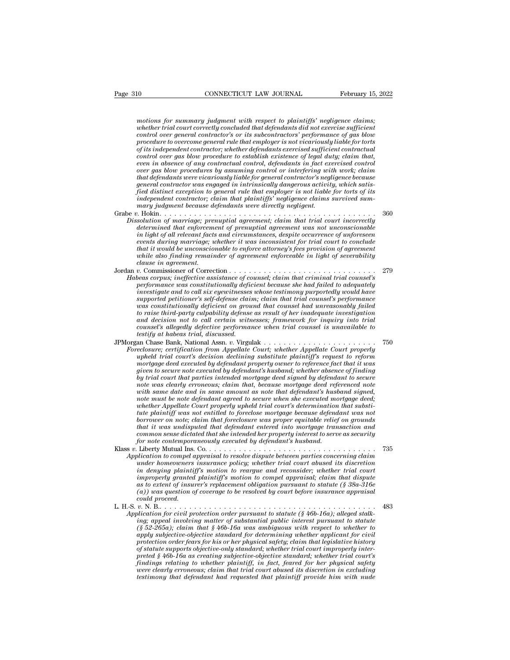*motions for summary judgment with respect to plaintiffs' negligence claims;*<br>whether trial court correctly concluded that defendants did not exercise sufficient<br>control over general contractor's or its subcontractors' per *whether trial conventions for summary judgment with respect to plaintiffs' negligence claims;*<br>motions for summary judgment with respect to plaintiffs' negligence claims;<br>whether trial court correctly concluded that defen **connecticut LAW JOURNAL February 15, 2022**<br> *control os for summary judgment with respect to plaintiffs' negligence claims;*<br> *whether trial court correctly concluded that defendants did not exercise sufficient*<br> *control* February 15, 2022<br> *procedure commary judgment with respect to plaintiffs' negligence claims;*<br> *protions for summary judgment with respect to plaintiffs' negligence claims;*<br> *procedure to overcome general contractor's or* motions for summary judgment with respect to plaintiffs' negligence claims;<br>whether trial court correctly concluded that defendants did not exercise sufficient<br>control over general contractor's or its subcontractors' perfo motions for summary judgment with respect to plaintiffs' negligence claims;<br>whether trial court correctly concluded that defendants did not exercise sufficient<br>control over general contractor's or its subcontractors' perfo motions for summary judgment with respect to plaintiffs' negligence claims;<br>whether trial court correctly concluded that defendants did not exercise sufficient<br>control over general contractor's or its subcontractors' perfo motions for summary judgment with respect to plaintiffs' negligence claims;<br>whether trial court correctly concluded that defendants did not exercise sufficient<br>control over general contractor's or its subcontractors' perfo *that the trade court correctly concluded that defendants did not exercise sufficient*<br>control over general contractor's or its subcontractors' performance of gas blow<br>procedure to overcome general rule that employer is no *general contractor's or its subcontractors' performance of gas blow*<br>procedure to overcome general rule that employer is not vicariously liable for torts<br>of its independent contractor; whether defendants exercised suffici procedure to overcome general rule that employer is not vicariously liable for torts of its independent contractor; whether defendants exercised sufficient contractual control over gas blow procedure to establish existence *independent contractor; whether defendants exercised sufficent contractual control over gas blow procedure to establish existence of legal duty; claim that, even in absence of any contractual control, defendants in fact e even in absence of any contractual control, defendants in fact exercised control*<br>*over gas blow procedures by assuming control or interfering with work; claim<br>that defendants were vicariously liable for general contracto* been in absence of any contractuat control, aegendants in fact exercised control<br>over gras blow procedures by assuming control or interfering with work; claim<br>that defendants were vicariously liable for general contractor' *Dissolution of marriage; prenuptial yialothe for general contractor's regligence because*<br>*general contractor was engaged in intrinsically dangerous activity, which satisfied distinct exception to general rule that employ* 

- *definition of marriage; prenuptial agreement; claim that trial court incorrectly determined that enforcement of prenuptial agreement was not unconscionable* in light of all relevant facts and circumstances, despite occurr *independent contractor was engaged in intrinsically dangerous activity, which satisfied distinct exception to general rule that employer is not liable for torts of its independent contractor; claim that plaintiffs' neglig read assunct exception to general rule inat employer is not iddie for toris of its marry judgment contractor; claim that plaintiffs' regligence claims survived summary judgment because defendants were directing marriage; that it would be unconscionable to enforce attorney judgment because defendants were directly negligent.*<br>  $\therefore$  Ibokin  $\ldots$   $\ldots$   $\ldots$   $\ldots$   $\ldots$   $\ldots$   $\ldots$   $\ldots$   $\ldots$   $\ldots$   $\ldots$   $\ldots$   $\ldots$   $\ldots$   $\ldots$   $\ldots$   $\ldots$ *which the course defendants were arrectly negligent.*<br> *which the column of marriage; premaptial agreement; claim that trial court incorrectly<br>
determined that enforcement of premaptial agreement was not unconscionable<br>
i clause in a function of marriage; predetermined that enforcement in light of all relevant facts events during marriage; uthat it would be unconsciously that it would be unconsciously clause in agreement.*<br>*clause in agree* Dissolution of marriage; prenipital agreement; carim that trial court incorrectly<br>determined that enforcement of prenipital agreement was not unconscionable<br>in light of all relevant facts and circumstances, despite occurre *determined that enforcement of prenupital agreement was not unconscionable<br>in light of all relevant facts and circumstances, despite occurrence of unforeseen<br>events during marriage; whether it was inconsistent for trial c performance was constitutionally deficient it was inconstitutionally devents during marriage; whether it would be unconscionable to enforce attorney's fees provision of agreement while also finding remainder of agreement*
- *inversion and the unconscionable to enforce attorney's fees provision of agreement*<br>*inkit it would be unconscionable to enforce attorney's fees provision of agreement*<br>*invite also finding remainder of agreement enforcea supported performance to enjorce attorney's jests provision of agreement<br>while also finding remainder of agreement enforceable in light of severability<br>clause in agreement.*<br> $v$ . Commissioner of Correction . . . . . . . . *was constitutionally deficient on ground that counsel had unreasonably failed to raise third-party as resulted to receive assistance of counsel;*  $\alpha$  randial rial counsel's performance was constitutionally deficient because she had failed to adequately investigate and to call six eyewitnesses whos *and decision is inergoin and the correction*  $\ldots$  and  $\ldots$   $\ldots$   $\ldots$   $\ldots$   $\ldots$   $\ldots$   $\ldots$   $\ldots$   $\ldots$   $\ldots$   $\ldots$   $\ldots$   $\ldots$   $\ldots$   $\ldots$   $\ldots$   $\ldots$   $\ldots$   $\ldots$   $\ldots$   $\ldots$   $\ldots$   $\ldots$   $\ldots$   $\ldots$   $\ldots$   $\ldots$   $\ldots$ *corpus; ineffective assistance of counsel; claim that criminal trial counsel's*<br>performance was constitutionally deficient because she had failed to adequately<br>investigate and to call six eyewitnesses whose testimony purp messagate and to call stat eyewthesses whose testimony purportedly dould have supported peritioner's self-defense claim, claim that trail counsel's performance was constitutionally deficient on ground that counsel had unre *Foreclosure; certificationally deficient on ground that courtset and ureas constitutionally factorially deficient on ground that coursel had ureas analy failed to raise third-party culpability defense as result of her ina uas construtuonally deficient on ground that counset had unreasonably jaued*<br>to raise third-party culpability defense as result of her inadequate investigation<br>and decision not to call certain witnesses; framework for inq
- 

*testify at habeas trial, discussed. morthe intra-party culphoutiny degense as result of ner induequate investigation*<br> *mad decision not to call certain witnesses; framework for inquiry into trial<br>
counsel's allegedly defective performance when trial counse* and accusion not to call certain witnesses; framework for induity this trial counsel's allegedly defective performance when trial counsel is unavailable to counsel is thabeas trial, discussed.<br>
an Chase Bank, National Assn *by trial court that parties intended mortgage deed signed by defendant to secure notes Bank, National Assn. v. Virgulak*<br> *an Chase Bank, National Assn. v. Virgulak*<br> *eclostre; certification from Appellate Court; whether Appellate Court properly<br>
upheld trial court's decision declining substitute pla where in that same and in same amount as note that in the Amound Assnet court is decision declining substitute plantiff's request to reform* upheld trial court's decision declining substitute plantiff's request to reform *note must a certification from Appellate Court; whether Appellate Court properly*<br> *nortgage deed executed by defendant properly owner to reference fact that it was<br>
given to secure note executed by defendant's husband; w wpheld trial court's decision declining substitute plaintiff's request to reform*<br>mortgage deed executed by defendant property owner to reference fact that it was<br>given to secure note executed by defendant's husband; whet *tute mortgage deed executed by defendant property owner to reference fact that it was* given to secure note executed by defendant's husband; whether absence of finding by trial court that parties intended mortgage deed si *given to secure note executed by defendant's husband; whether absence of finding* by trial court that parties intended mortgage deed signed by defendant to secure note was clearly erroneous; claim that, because mortgage d *by trial court that parties intended mortgage deed signed by defendant to secure*<br>note was clearly erroneous; claim that, because mortgage deed referenced note<br>nuith same date and in same amount as note that defendant's h role was clearly erroneous; clarm that, because mortgage deed referenced note<br>with same date and in same amount as note that defendant's husband signed,<br>note must be note defendant agreed to secure when she executed mortga *for note must be note defendant agreed to secure when she executed mortgage deed;*<br>*for note must be note defendant agreed to secure when she executed mortgage deed;*<br>*whether Appellate Court properly upheld trial court's* From the must be note argentum agreed to secure unen she executed mortgage deed;<br>whether Appellate Court properly upheld trial court's determination that substitute<br>the plaintiff was not entitled to foreclosure was proper *Appendie Court property uphed trad court s determination that substitute plaintiff was not entitled to forcelose mortgage because defendant was not borrower on note; claim that forcelose was proper equitable relief on gro une plaintyf was not entitied to givectose mortgage oecause aegendant was not*<br> *untait it was undisputed that defendant entered into mortgage transaction and*<br> *unton sense dictated that she intended her property interes* 

*in that it was undispated that defendant entered into morrigage transaction and that it was undispated that defendant entered into morrigage transaction and common sense dictated that she intended her property interest to indi it was unaisputed that degendant entered into morigage transaction and*<br> *common sense dicitated that she intended her property interest to serve as security*<br> *for note contemporaneously executed by defendant's hu as to extent of insurer's replacement obligation pursuant to statute (§ 38a-316e (a)) was question of coverage to be resolved by court before insurance appraisal* Liberty Mutual Ins.<br> *coloring to compel a<br>
under homeouvers<br>
in denying plainti<sub>j</sub><br>
improperly granted<br>
as to extent of insurable and proceed.<br>
<i>could proceed.*<br> *v. N. B...* ........<br> *v. N. B...*........................ *Application to compet appraisat to resolve aispute oetween parties concerning caum*<br> *under homoowners insurance policy, whether trial court abused its discretion*<br> *in denying plaintiff's motion to reargue and reconsider Application for civil protection order pursuant and reconsider; whether trial court and reconsidering plaintiff's motion to compel appraisal; claim that dispute as to extent of insurer's replacement obligation pursuant to in denying plannings motion to reargue and reconsider; whether trial court<br>inproperly granted plaintiff's motion to compel appraisal; claim that dispute<br>as to extent of insurer's replacement obligation pursuant to statute* 

*(a) (i) (i) (i) (i) (i) (i) (i) (i) (i) (i) (i) (i) (i) (i) (i) (i) (i) (i) (i) (i) (i) (i) (i) (i) (i) (i) (i) (i) (i) (i) (i) (i) (i) (i) (i) (i) as to extent of insurer's replacement obtigation parsacht to statute* (*§ 30a-310e* (*a*)) *vas question of coverage to be resolved by court before insurance appraisal could proceed.*<br> *v. N. B..* . . . . . . . . . . *protection order fears for his or her physical safety; court before insurance appraisal*<br>*proceed.*<br>*protection for civil protection order pursuant to statute* (§ 46b-16a); alleged stalking; appeal involving matter of sub *of statute supports objective-only standard; where the statute support in standardion for similarion speed involving matter of substantial public interest pursuant to statute (§ 52-265a); claim that § 46b-16a was ambiguou preted § 46b-16a as creating subjective-objective standard; whether trial court's findings relation for civil protection order pursuant to statute (§ 46b-16a); alleged stalking; appeal involving matter of substantial public interest pursuant to statute (§ 52-265a); claim that § 46b-16a was ambiguous wi were clearly are the in that s* and *were the substantial public interest pursuant to statute* (§ 52-265a); claim that § 46b-16a was ambiguous with respect to whether to apply subjective-objective standard for determining  $(\S 52-265a)$ ; claim that  $\S 46b-16a$  was ambiguous with respect to whether to apply subjective-objective standard for determining whether applicant for civil protection order fears for his or her physical safety; claim t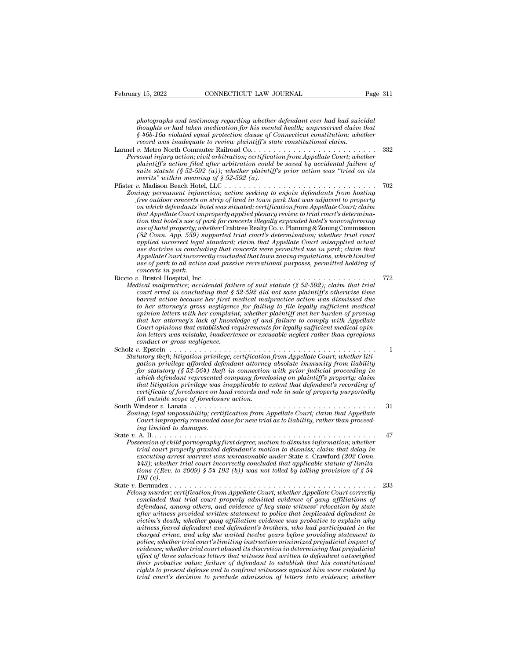*photographs and testimony regarding whether defendant ever had had suicidal*<br>*photographs and testimony regarding whether defendant ever had had suicidal*<br>*houghts or had taken medication for his mental health; unpreserve thoughts or had taken medication for had taken medication for had taken medication for had taken medication for his mental health; unpreserved claim that*<br>*thoughts or had taken medication for his mental health; unpreserv* **EXECTICUT LAW JOURNAL Fage 311**<br> *§ 46b-16a violated equal protection for his mental health; unpreserved claim that*<br> *§ 46b-16a violated equal protection clause of Connecticut constitution; whether*<br> *secord was inadequa* **February 15, 2022** CONNECTICUT LAW JOURNAL Page 311<br> *photographs and testimony regarding whether defendant ever had had suicidal*<br> *thoughts or had taken medication for his mental health; unpreserved claim that*<br>  $\frac{2}{9$ photographs and testimony regarding whether defendant ever had had suicidal<br>thoughts or had taken medication for his mental health; unpreserved claim that<br> $\S 46b-16a$  violated equal protection clause of Connecticut constit *Photographs and testimony regarding whether defendant ever had had suicidal<br>thoughts or had taken medication for his mental health, unpreserved claim that<br>* $\frac{8}{46}$ *-16a violated equal protection clause of Connecticut con* 

- photographs and testimony regarding whether defendant ever had had suicidal<br>thoughts or had taken medication for his mental health; unpreserved claim that<br> $\frac{6}{9}46b-16a$  violated equal protection clause of Connecticut co photographs and testimony regaraing whether aegenaant ever had had suicidat<br> *i*s *h* 6b-16a violated equal protection clause of Connecticut constitution; whether<br> *record was inadequate to review plaintiff's state constit merits'' within meaning of § 52-592 (a). v*-o-rol vasitated equal protection clause of Connecticat constitution, the there record was inadequate to review plaintiff's state constitutional claim.<br>
Larmel v. Netro North Commuter Railroad Co. . . . . . . . . . . . *Zoning; permanent injunction; action seeking to enjoin defendants from hosting*
- *free outdoor concerts on strip of land in town in the concert of land in the plaintiff's action, civil arbitration, critification from Appellate Court, whether plaintiff's action filed after arbitration could be saved by sonal injury action; civil arourration; certification from Appellate Court; whether*<br>plaintiff's action filed after arbitration could be saved by accidental failure of<br>suite statute (§ 52-592 (a)); whether plaintiff's pri *platnulf s action jued after arouration could be saved by accidental jature of spacinity statile (§ 52-592 (a); whether plaintiff's prior action was "tried on its merits" within meaning of § 52-592 (a).................... tion that hotel's use of park for concerts illegally expanded hotel's nonconforming use of hotel property; whether* Crabtree Realty Co. *v.* Planning & Zoning Commission *(82)*<br>*(82)* supported trial connection; action seeking to enjoin defendants from hosting<br>free outdoor concerts on strip of land in town park that was adjacent to property<br>free outdoor concerts on strip of land in town pa *applied incorrects on strip of land in town park that was adjacent to property*<br>free outdoor concerts on strip of land in town park that was adjacent to property<br>on which defendants' hotel was situated; certification from *free outdoor concerts on strip of land in town park that was adjacent to property*<br> *on which defendants' hotel was situated; certification from Appellate Court; claim<br>
that Appellate Court improperly applied plenary revi Appellate Court improperly applied plenary review to trial court's determinate Appellate Court improperly applied plenary review to trial court's determination that hotel's use of pork for concerts illegally expanded hote that Appellate Court mproperty applied plenary review to trial court's determination that hotel's use of park for concerts illegally expanded hotel's nonconforming use of plotel property; whether Crabice Realty Co. v. Pla concerts in the concerts in the of the property, weight applied incorrect legal applied incorrect legal applied incorrect legal applied incorrect legal applied*  $\Omega$  *applied*  $\Omega$  *and*  $\Omega$  *and*  $\Omega$  *and*  $\Omega$  *and*  $\Omega$  *and \Omega* use of notet property; whether Crabice Realty Co. v. Framing & Loning Commission<br>
(82 Com. App. 559) supported trial court's determination; whether trial court<br>
applied incorrect legal standard; claim that Appellate Court *Medical incorrect legal standard; claim that Appellate Court misapplied actual use doctrine in concluding that concerts were permitted use in park; claim that Appellate Court incorrectly concluded that town zoning regulat court misapplied incorrect legal standard; claim that Appellate Court misapplied actual ase doctrine in concluding that concerts were permitted use in park; claim that Appellate Court incorrectly concluded that town zonin*
- *barellate Court incorrectly concluded that town zoning regulations, which limited*<br>*Appellate Court incorrectly concluded that town zoning regulations, which limited*<br>*bare of park to all active and passive recreational p Appeuate Court incorrectly concluded that town zoning regulations, which imitted*<br>*to here of park to all active and passive recreational purposes, permitted holding of*<br>*concerts in park.*<br>*D.* Bristol Hospital, Inc..... *ophics of park to all active and passive recreational purposes, permitted notaing of*<br> *oncerts in park.*<br> *o. Bristol Hospital, Inc.*<br> *ical malpractice; accidental failure of suit statute (§ 52-592); claim that trial<br>
c toncerts in park.* The metric of that her attorney is a higher to concerts in parametrical malpractice; accidental failure of suit statute (§ 52-592); claim that trial is court erred in concluding that § 52-592 did not sa *Court errors that increases accidental failure of suit statute (§ 52-592); claim that trial ideal malpractice; accidental failure of suit statute (§ 52-592); claim that trial barred action because her first medical malpra itical malpractice; accidental jailure of suit statute (§ 52-592); claim that trial court erred in concluding that § 52-592 did not save plaintiff's otherwise time barred action because her first medical malpractice actio*  $\emph{count erred}$  in concluding that  $\S$  is<br>barred action because her first m<br>to her attorney's gross negligence.<br>opinion letters with her complain<br>that her attorney's lack of knowl<br>Court opinions that established re<br>ion letters parrea action because her jirst meatical materialized corron was assmissed due<br>to her attorney's gross negligence for failing to file legally sufficient medical<br>opinion letters with her complaint; whether plaintiff met her *Statutory theft; litigation privilege; certification from Appellate Court opinions that established requirements for legally sufficient medical opinion letters was mistake, inadvertence or excusable neglect rather than eg gation in the atters with ner complaint; whether plaintyf met her attorney's lack of knowledge of and failure to comply with Appellate Court opinions that established requirements for legally sufficient medical opinion le*
- *for statutory is ack of knowleage of and jauure to compty with Appeuate*<br> *Court opinions that established requirements for legally sufficient medical opinion letters was mistake, inadvertence or excusable neglect rather which defendant represented company foreclosing on plaintiff's property; claim that litigation privilege was inapplicable to extent that defendant's recording of certificate of foreclosure on land records and role in sale of property purportedly fell outside in the interior in the foreclosure in the form the form spation privilege, certification for statutory (§ 52-564) the ft in connection which defendant represented company foreclosure action.*<br>*for statutory (* South principles afforded defendant attorney absolute immunity from lability<br>for statutory (§ 52-564) theft in connection with prior judicial proceeding in<br>thich defendant represented company foreclosing on plaintiff's pro gation privilege afformed aegenaant attorney absolute immunity from tiability for statutory (§ 52-564) theft in connection with prior judicial proceeding in which defendant represented company foreclosing on plaintiff's pr *Court in that litigation privilege was inapplicable to extent that defendant's recording of*<br>*Courtificate of foreclosure on land records and role in sale of property purportedly<br>fell outside scope of foreclosure action. inatityation privideg was interactional that littigation privideg was i*<br>certificate of foreclosure on la<br>fell outside scope of foreclosur<br>Vindsor v. Lanata . . . . . . . . . . .<br>Vindsor v. Lanata . . . . . . . . . . . .
- State *v.* A. B. . . . . . . . . . . . . . . . . . . . . . . . . . . . . . . . . . . . . . . . . . . . . . <sup>47</sup> *Possession of child pornography first degree; motion to dismiss information field outside scope of foreclosure action.*<br> *Possession of child pornography first degree; motion to dismiss information; whether*<br> *Possession*
- *trial court impossibility; certification from Appellate Court; claim that Appellate Court improperly remanded case for new trial as to liability, rather than proceeding limited to damages.*<br>A. B. . . . . . . . . . . . . . *execution from Appellate Court, claim that Appellate Court improperly remanded case for new trial as to liability, rather than proceeding limited to damages.*<br> *executing properly remanded case for new trial as to liabili 443); whether trial court incorrectly concluded that applicable statute of limitations ((Rev. to 2009) § 54-193 (b)) was not tolled by tolling provision of § 54 ng umued to*<br>A. B. . . . . . .<br>session of child<br>trial court proceeding arr<br>443); whether<br>Barmudez .<br>Barmudez .<br>mumber comparties State *<sup>v</sup>*. Bermudez . . . . . . . . . . . . . . . . . . . . . . . . . . . . . . . . . . . . . . . . . . <sup>233</sup> *Fossession of chua pornography first aegree; motion to atsmiss information; whether*<br> *Fact court properly granted defendant's motion to dismiss; claim that delay in*<br> *executing arrest warrant was unreasonable under* Sta *concluded that trial court properly concluded that applicable statute of limitations ((Rev. to 2009)* § 54-193 (b)) was not tolled by tolling provision of § 54-193 (c).<br> **State v. Bermudez** . . . . . . . . . . . . . . . .
	- *definity* are accounting arrest warrant was unreasonable under State v. Crawford (202 Conn. 443); whether trial court incorrectly concluded that applicable statute of limitations ((Rev. to 2009) § 54-193 (b)) was not toll *after witness provided written statement to police that implicated defendant in victim's death; whether gang affiliation evidence was probative to explain why where these feared defendant and defendant is berwedge where the property admitted countated count correctly concluded that trial court property admitted evidence of gang affiliations of defendant, among others, and evide charged crime, certification from Appellate Court, whether Appellate Court correctly*<br>*concluded that trial court properly admitted evidence of gang affiliations of*<br>*defendant, among others, and evidence of key state wit police; certification from Appellate Court; whether Appellate Court correctly concluded that trial court properly admitted evidence of gang affiliations of defendant, among others, and evidence of key state witness reloca econcluded that trial court property admitted evidence of gang affiliations of* defendant, among others, and evidence of key state witness ireviolence in a previous in in originer witness provided written in a pictim's de *defendant, among others, and evidence of key state witness' relocation by state*<br>*giter witness provided written statement to police that implicated defendant in*<br>*victim's death; whether gang affiliation evidence was pro victim's death, whether gang affiliation evidence was probative to explain why*<br>*their witness feared defendant and defendant's brothers, who had participated in the*<br>*charged crime, and why she waited twelve years before rights to death, whether gang affiliation evidence was probative to explain why* witness feared defendant and defendant's brothers, who had participated in the charged crime, and why she waited twelve years before providi *charged crime, and why she waited twelve years before providing statement to*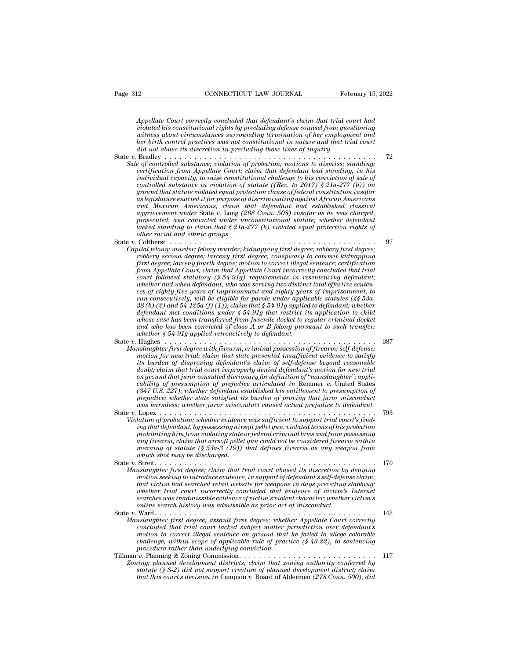*CONNECTICUT LAW JOURNAL* February 15, 2022<br>*Appellate Court correctly concluded that defendant's claim that trial court had*<br>*violated his constitutional rights by precluding defense counsel from questioning*<br>*witness abo violated CONNECTICUT LAW JOURNAL* February 15, 2022<br>*Appellate Court correctly concluded that defendant's claim that trial court had*<br>*violated his constitutional rights by precluding defense counsel from questioning<br>witn* **with the CONNECTICUT LAW JOURNAL February 15, 2022**<br>*Appellate Court correctly concluded that defendant's claim that trial court had violated his constitutional rights by precluding defense counsel from questioning witnes* **her bird control CONNECTICUT LAW JOURNAL** February 15, 2022<br> *Appellate Court correctly concluded that defendant's claim that trial court had*<br> *violated his constitutional rights by precluding defense counsel from questi did Appellate Court correctly concluded that defendant's claim that trial court had violated his constitutional rights by precluding defense counsel from questioning witness about circumstances surrounding termination of* Appellate Court correctly concluded that defendant's claim that trial court had<br>violated his constitutional rights by precluding defense counsel from questioning<br>witness about circumstances surrounding termination of her e *certification from Appellate Court correctly concluded that defendants claim that trial court nad*<br> *voidated his constitutional rights by precluding defense counsel from questioning*<br> *witness about circumstances surroun* 

*Sale of controlled substance; violation of probation; motions to dismiss; standing; indigual and constitutional rights of preculaing defense counsel from questioning*<br>*intimes about circumstances surrounding termination of her employment and<br>the birth control practices was not constitutional in nature an controlled substances surrounaing termination of ner employment and<br>her birth control practices was not constitutional in nature and that trial court<br>did not absect is discretion in precluding those lines of inquiry.*<br> $Brad$ *ground that statute in in precluding those lines of inquiry.*<br> *gradley controlled substance; violation of probation; motions to dismiss; standing;*<br> *eqf controlled substance; violation of probation; motions to dismiss; as legislature enacted it for purpose of discriminating against African Americans and Mexican Americans; colation of probation; motions to dismiss; standing;*  $\frac{1}{2}$  *and to controlled substance; violation form that defendant had standing, in his contridicated capacity, to raise constitutional chall aggrievement and substance; violation of probation; motions to atsmiss; standing, in his individual capacity, to raise constitutional challenge to his conviction of scate of controlled substance in violation of statute (( certyrcation from Appellate Court; claim that defendant had standing, in his*<br>individual capacity, to raise constitutional challenge to his conviction of sale of<br>controlled substance in violation of statute ((Rev. to 2017 *lacked standing to claim that standing to his conviction of sale of* controlled substance in violation of statute ((Rev. to 2017)  $\S$  21a-277 (b)) on ground that statute violated equal protection clause of federal consti *controlled substance in violation of*<br>*ground that statute violated equal proof*<br>*and Mexican Americans; claim t*<br>*and Mexican Americans; claim that groups.*<br>*grosecuted, and convicted under undered standing to claim that* ground mat statute volated equal protection clause by Jearna constitution insolar<br>as legislature enacted if for purpose of discriminating against African Americans<br>and Mexican Americans; claim that defendant had establishe *Capital felony; murder; califormations; califormations; califormations; califormations; califormations; califormational statute; whether degendant lacked standing to claim that*  $\frac{2}{3}$  *and convicted under unconstitution* ana mexican Americans; cianm inat aegenaant naa established classical<br>aggrieement under State v. Long (268 Conn. 508) insofar as he was charged,<br>prosecuted, and convicted under unconstitutional statute; whether defendant<br>l

*fourth degree; larceny fourth degree; larceny fourth degree; motion to converted, and converted and ethnic groups.*<br> *facked standing to claim that* § 21a-277 (b) violated equal protection rights of other racial and ethni *from Appellate Court incorrection* and that  $\frac{1}{2}$  and  $\frac{1}{2}$  and  $\frac{1}{2}$  and  $\frac{1}{2}$  and  $\frac{1}{2}$  and  $\frac{1}{2}$  of their racial and  $\frac{1}{2}$  of their racial and  $\frac{1}{2}$  colume that  $\frac{1}{2}$   $\frac{1}{2}$   $\frac{1$ *court followed statutory (§ 54-91g) requirements in resentencing defendant; whether and when defendant, who was serving two distinct total effective sentences of eighty-five years of imprisonment and eighty years of imprisonment, to rund felony; murder; felony murder; kanapping first degree; robbery first degree; robbery second degree; lareeny first degree; conspiracy to commit kidnapping first degree; motion to correct illegal sentence; certificatio 38 robbery second degree; larceny first degree; conspiracy to commit kidnapping*<br>*first degree; larceny fourth degree; motion to correct illegal sentence; certification<br>from Appellate Court; claim that Appellate Court inc degree; larceny fourth degree; motion to correct ulegal sentence; certification*<br>
from Appellate Court; claim that Appellate Court incorrectly concluded that trial<br>
court followed statutory (§ 54-91g) requirements in rese *from Appellate Court; clarm that Appellate Court incorrectly concluded that trial*<br> *court followed statutory* (§ 54-91g) requirements in resentencing defendant;<br>
whether and when defendant, who was serving two distinct t *court jollowed statutory (§ 54-91g) requirements in resentencing defendant;*<br>whether and when defendant, who was serving two distinct total effective senten-<br>ces of eighty-five years of imprisonment and eighty years of im *ces of eighty-five years of imprisonment and eighty years of imprisonment, to* run consecutively, will be eligible for parole under applicable statutes (§§ 53a-38 (b) (2) and 54-125a (f) (1)); claim that § 54-91g applied ces of eughly-five years of imprisonment and eughly years of imprisonment, to<br>
run consecutively, will be eligible for parole under applicable statutes (§§ 53a-<br>
38 (b) (2) and 54-125a (f) (1)); claim that § 54-91g applied *Manslaughter first degree with firearm; criminal is*  $54-91g$  applied to defendant; whether defendant met conditions under  $\S 54-91g$  applied retrict its application to child whose case has been transferred from juvenile *motion for new trial; claim that state presented insufficient and the ferdant met conditions under \$ 54-91g application to child defendant whose case has been transferred from juvenile docket to regular criminal docket* a

*its algendant met conditions under § 54-91g indi restrict us application to child and who has been transferred from juvenile docket and who has been convicted of class A or B felony pursuant to such transfer;* whether § *dower case has been transferred from juvenue docket to regular criminal docket*<br>and who has been convicted of class  $A$  or  $B$  felony pursuant to such transfer;<br>whether  $\S$  54-91g applied retroactively to defendant in the and who has been convicted of class A or B felony pursuant to such transfer;<br> *bughes*<br> *charges*<br> *charges*<br> *on ground there with firearm, criminal possession of firearm, self-defense;<br>
motion for new trial; claim that s cability of presumption of prejudice articulated in seriences in the mislangulated first degree with firearm; criminal possession of firearm; self-defense; motion for new trial; claim that state presented insufficient evi (347 U.S. 227); whether defendant established his entitlement to presumption of prestaughter first degree with firearm; criminal possession of firearm; self-defense;*<br>motion for new trial; claim that state presented insufficient evidence to satisfy<br>its burden of disproving defendant's claim of self-d *was harmless; whether existate presented insulficient evidence to satisfy* its burden of disproving defendant's claim of self-defense beyond reasonable doubt; claim that trial court improperly derived defendant's motion f Its ournen of ansproving agendants carm of seq-agense oegona reasonaote<br>
doubt; claim that trial court improperly denied defendant's motion for new trial<br>
on ground that juror consulted dictionary for definition of "mansla *Violation of probation of probatical dictionary for definition of "manslaughter"*; applicability of presumption of prejudice articulated in Remner v. United States (347 U.S. 227); whether defendant established his entitle *ing that defendant, by possessing aircromaty gord against the Rememer v. United States* cability of presumption of prejudice articulated in Rememer v. United States (347 U.S. 227); whether defendant established his entile

*prohibiting of presumption of preplaace articulated in Kemmer v.* United States  $(\beta 47$  U.S.  $227)$ ; whether defendant established his entitlement to presumption of proving that increment or wisconduct was harmless; wheth (347 U.S. 221); whener aejenaant established his entitlement to presumption of<br>prejudice; whether state satisfied its burden of proving that juror misconduct<br>was harmless; whether gun misconduct caused actual prejudice to *meaning of statute (§ 53a-3 (19)) that defines firearm as any weapon from which shot may be discharged.* State *<sup>v</sup>*. Streit. . . . . . . . . . . . . . . . . . . . . . . . . . . . . . . . . . . . . . . . . . . . . <sup>170</sup> *Manslaughter first degree; claim that trial court abused trems of his probability abused int, by possessing airsoft pellet gun, violated terms of his probation approbation first degree; claim that airsoft pellet gun could mg that agendant, oy possessing arrsoft peuta gim, violated terms of his probation probabiting him from violating state or federal criminal laws and from possessing any firearm, claim that airsoft pellet gun could not be* 

prontotting nim from violating state or jeaeral criminal taws and from possessing<br>any firearm; claim that airsoft pellet gun could not be considered firearm within<br>meaning of statute (§ 53a-3 (19)) that defines firearm as *why prearm, canm that arrsoft peuet gan coula not be considered prearm within*<br>meaning of statute (§ 53a-3 (19)) that defines firearm as any weapon from<br>which shot may be discharged.<br>Streit. . . . . . . . . . . . . . . . *searches was inadmissible evidence of victim's violent character; whether victim's online search history was admissible as prior act of misconduct.* State *<sup>v</sup>*. Ward. . . . . . . . . . . . . . . . . . . . . . . . . . . . . . . . . . . . . . . . . . . . . <sup>142</sup> *Manslaughter first degree; canm that trial court abused its aiscretion by denying<br>motion seeking to introduce evidence, in support of defendant's self-defense claim,<br>that victim had searched retail website for weapons in concluded that secretaries are trial website for weapons in days preceding stabbing;*<br>that victim had searched retail website for weapons in days preceding stabbing;<br>whether trial court incorrectly concluded that evidence

- *mat victim nad searched retail website for weapons in days preceding staboung;*<br>whether trial court incorrectly concluded that evidence of victim's Internet<br>searches was inadmissible evidence of victim's violent character *challenge, with a court incorrectly concluded that evidence of victim's searches was indmissible evidence of victim's violent character; whether victim's online search history was admissible as prior act of misconduct.*<br> *procedure rather than underlying conviction.* Tillman *<sup>v</sup>*. Planning & Zoning Commission. . . . . . . . . . . . . . . . . . . . . . . . . . . . <sup>117</sup> *Zoning; planned development districts; claim that installage that this concluded that trial court lacked subject matter jurisdiction over defendant's motion to correct illegal sentence on ground that he failed to allege c statughter first aegree; assault first aegree; whether Appelate Court correctly concluded that trial court lacked subject matter jurisdiction over defendant's motion to correct illegal sentence on ground that he failed to that trial court lacked subject matter jurisdiction over defendant's*<br>*motion to correct illegal sentence on ground that he failed to allege colorable challenge, within scope of applicable rule of practice (\$43-22), to se*
-